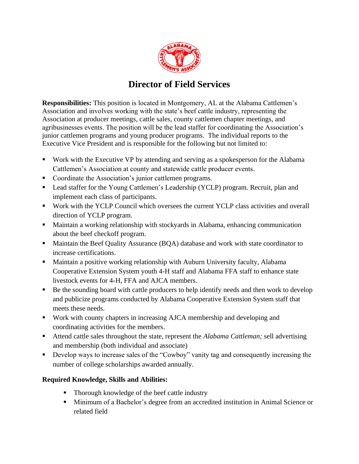

## **Director of Field Services**

**Responsibilities:** This position is located in Montgomery, AL at the Alabama Cattlemen's Association and involves working with the state's beef cattle industry, representing the Association at producer meetings, cattle sales, county cattlemen chapter meetings, and agribusinesses events. The position will be the lead staffer for coordinating the Association's junior cattlemen programs and young producer programs. The individual reports to the Executive Vice President and is responsible for the following but not limited to:

- Work with the Executive VP by attending and serving as a spokesperson for the Alabama Cattlemen's Association at county and statewide cattle producer events.
- Coordinate the Association's junior cattlemen programs.
- Lead staffer for the Young Cattlemen's Leadership (YCLP) program. Recruit, plan and implement each class of participants.
- Work with the YCLP Council which oversees the current YCLP class activities and overall direction of YCLP program.
- Maintain a working relationship with stockyards in Alabama, enhancing communication about the beef checkoff program.
- Maintain the Beef Quality Assurance (BQA) database and work with state coordinator to increase certifications.
- Maintain a positive working relationship with Auburn University faculty, Alabama Cooperative Extension System youth 4-H staff and Alabama FFA staff to enhance state livestock events for 4-H, FFA and AJCA members.
- Be the sounding board with cattle producers to help identify needs and then work to develop and publicize programs conducted by Alabama Cooperative Extension System staff that meets these needs.
- Work with county chapters in increasing AJCA membership and developing and coordinating activities for the members.
- Attend cattle sales throughout the state, represent the *Alabama Cattleman*; sell advertising and membership (both individual and associate)
- Develop ways to increase sales of the "Cowboy" vanity tag and consequently increasing the number of college scholarships awarded annually.

## **Required Knowledge, Skills and Abilities:**

- Thorough knowledge of the beef cattle industry
- Minimum of a Bachelor's degree from an accredited institution in Animal Science or related field